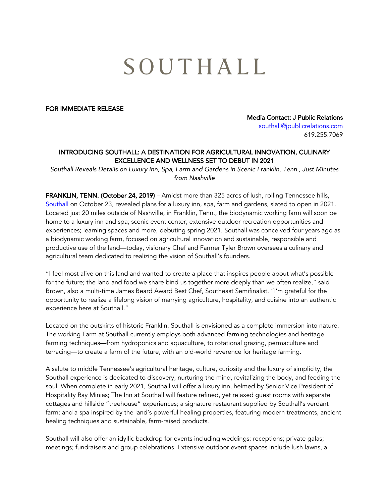## SOUTHALL

## FOR IMMEDIATE RELEASE

Media Contact: J Public Relations southall@jpublicrelations.com 619.255.7069

## INTRODUCING SOUTHALL: A DESTINATION FOR AGRICULTURAL INNOVATION, CULINARY EXCELLENCE AND WELLNESS SET TO DEBUT IN 2021

*Southall Reveals Details on Luxury Inn, Spa, Farm and Gardens in Scenic Franklin, Tenn., Just Minutes from Nashville*

FRANKLIN, TENN. (October 24, 2019) – Amidst more than 325 acres of lush, rolling Tennessee hills, Southall on October 23, revealed plans for a luxury inn, spa, farm and gardens, slated to open in 2021. Located just 20 miles outside of Nashville, in Franklin, Tenn., the biodynamic working farm will soon be home to a luxury inn and spa; scenic event center; extensive outdoor recreation opportunities and experiences; learning spaces and more, debuting spring 2021. Southall was conceived four years ago as a biodynamic working farm, focused on agricultural innovation and sustainable, responsible and productive use of the land—today, visionary Chef and Farmer Tyler Brown oversees a culinary and agricultural team dedicated to realizing the vision of Southall's founders.

"I feel most alive on this land and wanted to create a place that inspires people about what's possible for the future; the land and food we share bind us together more deeply than we often realize," said Brown, also a multi-time James Beard Award Best Chef, Southeast Semifinalist. "I'm grateful for the opportunity to realize a lifelong vision of marrying agriculture, hospitality, and cuisine into an authentic experience here at Southall."

Located on the outskirts of historic Franklin, Southall is envisioned as a complete immersion into nature. The working Farm at Southall currently employs both advanced farming technologies and heritage farming techniques—from hydroponics and aquaculture, to rotational grazing, permaculture and terracing—to create a farm of the future, with an old-world reverence for heritage farming.

A salute to middle Tennessee's agricultural heritage, culture, curiosity and the luxury of simplicity, the Southall experience is dedicated to discovery, nurturing the mind, revitalizing the body, and feeding the soul. When complete in early 2021, Southall will offer a luxury inn, helmed by Senior Vice President of Hospitality Ray Minias; The Inn at Southall will feature refined, yet relaxed guest rooms with separate cottages and hillside "treehouse" experiences; a signature restaurant supplied by Southall's verdant farm; and a spa inspired by the land's powerful healing properties, featuring modern treatments, ancient healing techniques and sustainable, farm-raised products.

Southall will also offer an idyllic backdrop for events including weddings; receptions; private galas; meetings; fundraisers and group celebrations. Extensive outdoor event spaces include lush lawns, a